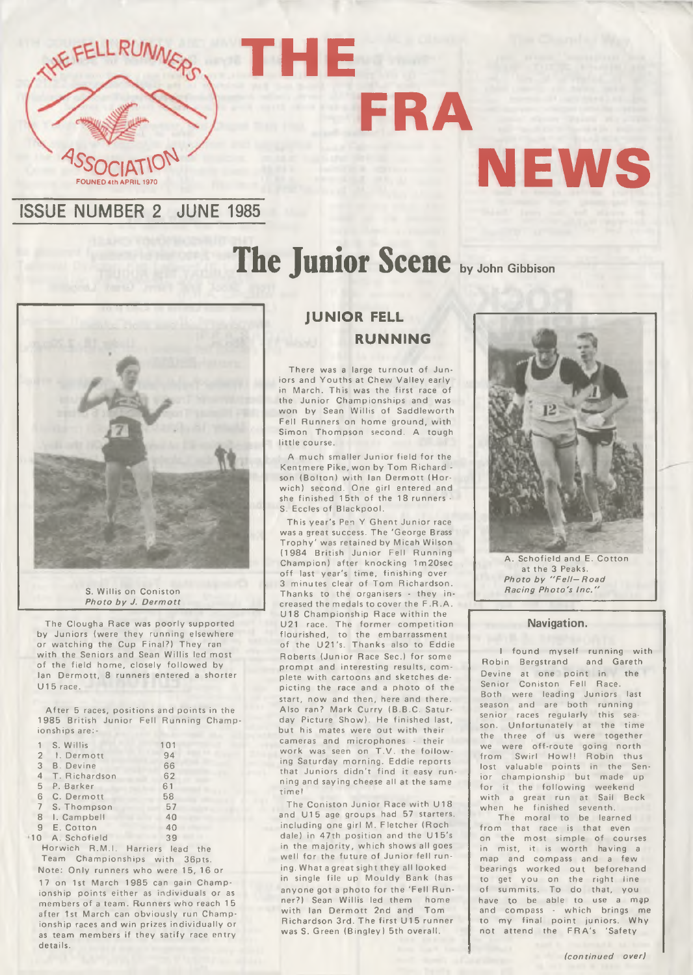

# **NEWS**

### **ISSUE NUMBER 2 JUNE 1985**

## **The Junior Scene by John Gibbison**

**FRA**



S. Willis on Coniston *Photo by J. Dermott* 

The Clougha Race was poorly supported by Juniors (were they running elsewhere or watching the Cup Final?) They ran with the Seniors and Sean Willis led most of the field home, closely followed by Ian Dermott, 8 runners entered a shorter  $U15$  race.

After 5 races, positions and points in the 1985 British Junior Fell Running Championships are:-

| 1              | S. Willis        | 101 |  |
|----------------|------------------|-----|--|
| $\overline{2}$ | 1. Dermott       | 94  |  |
| 3              | <b>B.</b> Devine | 66  |  |
| $\overline{4}$ | T. Richardson    | 62  |  |
| 5              | P. Barker        | 61  |  |
| 6              | C. Dermott       | 58  |  |
| $\overline{7}$ | S. Thompson      | 57  |  |
| 8              | I. Campbell      | 40  |  |
| 9              | E. Cotton        | 40  |  |
| 10             | A. Schofield     | 39  |  |

Horwich R.M.I. Harriers lead the Team Championships with 36pts.

Note: Only runners who were 15, 16 or 17 on 1st March 1985 can gain Championship points either as individuals or as members of a team. Runners who reach 15 after 1st March can obviously run Championship races and win prizes individually or as team members if they satify race entry details.

#### **JUNIOR FELL RUNNING**

**THE**

There was a large turnout of Juniors and Youths at Chew Valley early in March. This was the first race of the Junior Championships and was won by Sean Willis of Saddleworth Fell Runners on home ground, with Simon Thompson second. A tough little course.

A much smaller Junior field for the Kentmere Pike, won by Tom Richard son (Bolton) with Ian Dermott (Horwich) second. One girl entered and she finished 15th of the 18 runners -S. Eccles of Blackpool.

This year's Pen Y Ghent Junior race was a great success. The 'George Brass' Trophy' was retained by Micah Wilson (1984 British Junior Fell Running Champion) after knocking 1m20sec off last year's time, finishing over 3 minutes clear of Tom Richardson. Thanks to the organisers - they increased the medals to cover the F.R.A. U18 Championship Race within the U21 race. The form er com petition flourished, to the embarrassment of the U21's. Thanks also to Eddie Roberts (Junior Race Sec.) for some prompt and interesting results, complete with cartoons and sketches depicting the race and a photo of the start, now and then, here and there. Also ran? Mark Curry (B.B.C. Saturday Picture Show). He finished last, but his mates were out with their cameras and microphones - their work was seen on T.V. the following Saturday morning. Eddie reports that Juniors didn't find it easy running and saying cheese all at the same time!

The Coniston Junior Race with U18 and U15 age groups had 57 starters, including one girl M. Fletcher (Roch dale) in 47th position and the U15's in the majority, which shows all goes well for the future of Junior fell runing. What a great sight they all looked in single file up Mouldy Bank (has anyone got a photo for the 'Fell Runner?) Sean Willis led them home<br>with lan Dermott 2nd and Tom with Ian Dermott 2nd and Richardson 3rd. The first U15 runner was S. Green (Bingley) 5th overall.



A. Schofield and E. Cotton at the 3 Peaks. Photo by "Fell-Road *Racing Photo's In c ."*

#### **Navigation.**

I found myself running with Robin Bergstrand and Gareth Devine at one point in the Senior Coniston Fell Race. Both were leading Juniors last season and are both running senior races regularly this season. Unfortunately at the time the three of us were together we were off-route going north from Swirl How!! Robin thus lost valuable points in the Senior championship but made up<br>for it the following weekend it the following weekend with a great run at Sail Beck when he finished seventh.

The moral to be learned from that race is that even on the most simple of courses in mist, it is worth having a map and compass and a few bearings worked out beforehand to get you on the right line of summits. To do that, you have to be able to use a map and compass - which brings me to my final point juniors. Why not attend the FRA's 'Safety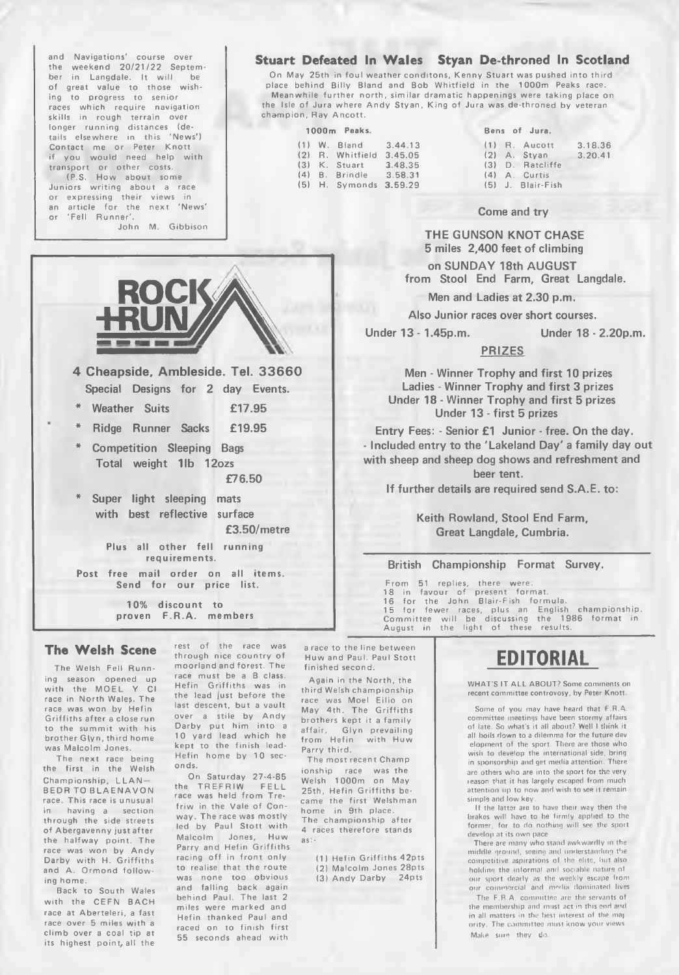and Navigations' course over the weekend 20/21/22 September in Langdale. It will be of great value to those wishing to progress to senior races which require navigation skills in rough terrain over longer running distances (details elsewhere in this 'News') Contact me or Peter Knott you would need help with transport or other costs. (P.S. How about some

Juniors writing about a race or expressing their views in an article for the next 'News' or 'Fell Runner'.

John M. Gibbison

**ROCKA** 

**4 Cheapside, Ambleside. Tel. 3 3 6 6 0 Special Designs for 2 day Events.** Weather Suits **£17.95 \* Ridge Runner Sacks £19.95**

**\* Competition Sleeping Bags Total weight 11b 12ozs**

**Super light sleeping mats with best reflective surface**

**Plus all other fell running requirements. Post free mail order on all items. Send for our price list.**

> **10% discount to proven F.R.A. members**

#### **Stuart Defeated In Wales Styan De-throned In Scotland**

On May 25th in foul weather conditons, Kenny Stuart was pushed into third place behind Billy Bland and Bob Whitfield in the 1000m Peaks race. Meanwhile further north, similar dramatic happenings were taking place on the Isle of Jura where Andy Styan, King of Jura was de-throned by veteran champion, Ray Ancott.

| Peaks<br>1000m |
|----------------|
|----------------|

|  | $(1)$ W. Bland 3.44.13    |  | $(1)$ R. Aucott   | 3.18.36 |
|--|---------------------------|--|-------------------|---------|
|  | (2) R. Whitfield 3.45.05  |  | $(2)$ A. Stvan    | 3.20.41 |
|  | $(3)$ K. Stuart $3.48.35$ |  | (3) D. Ratcliffe  |         |
|  | (4) B. Brindle 3.58.31    |  | $(4)$ A. Curtis   |         |
|  | $(5)$ H. Symonds 3.59.29  |  | (5) J. Blair-Fish |         |

#### Bens of Jura.

|  | $(1)$ R. Aucott   | 3.18.3 |
|--|-------------------|--------|
|  | $(2)$ A. Styan    | 3.20.4 |
|  | (3) D. Ratcliffe  |        |
|  | (4) A. Curtis     |        |
|  | (5) J. Blair-Fish |        |
|  |                   |        |

#### **Come and try**

**THE GUNSON KNOT CHASE 5 miles 2,400 feet of climbing**

**on SUNDAY 18th AUGUST from Stool End Farm, Great Langdale.**

**Men and Ladies at 2.30 p.m.**

**Also Junior races over short courses.**

**Under 13 - 1.45p.m. Under 18 - 2.20p.m.**

#### **PRIZES**

**Men - Winner Trophy and first 10 prizes Ladies - Winner Trophy and first 3 prizes Under 18 - Winner Trophy and first 5 prizes Under 13 - first 5 prizes**

**Entry Fees: - Senior £1 Junior - free. On the day. - Included entry to the 'Lakeland Day' a family day out with sheep and sheep dog shows and refreshment and beer tent.**

**If further details are required send S.A.E. to:**

**Keith Rowland, Stool End Farm, Great Langdale, Cumbria.**

#### **British Championship Format Survey.**

From 51 replies, there were 18 in favour of present format 16 for the John Blair-Fish formula. 15 for fewer races, plus an English championship.<br>Committee will be discussing the 1986 format in<br>August in the light of these results.

#### **The Welsh Scene**

The Welsh Fell Running season opened up with the MOEL Y CI race in North Wales. The race was won by Hefin Griffiths after a close run to the summit with his brother G(yn, third home was Malcolm Jones.

The next race being the first in the Welsh Championship, LLAN-**BEDR TO BLAENAVON** race. This race is unusual in having a section through the side streets of Abergavenny just after the halfway point. The race was won by Andy Darby with H. Griffiths and A. Ormond follow ing home.

Back to South Wales with the CFFN BACH race at Aberteleri, a fast race over 5 miles with a climb over a coal tip at its highest point, all the

through nice country of moorland and forest. The race must be a B class. Hefin Griffiths was in the lead just before the last descent, but a vault over a stile by Andy Darby put him into a 10 yard lead which he kept to the finish lead-Hefin home by 10 seconds.

rest of the race was

**£76.50**

**£3.50/metre**

On Saturday 27-4-85 the TREFRIW FELL race was held from Trefriw in the Vale of Conway. The race was mostly led by Paul Stott with Malcolm Jones, Huw Parry and Hefin Griffiths racing off in front only to realise that the route was none too obvious and falling back again behind Paul. The last 2 miles were marked and Hefin thanked Paul and raced on to finish first 55 seconds ahead with

a race to the line between Huw and Paul. Paul Stott finished second.

Again in the North, the third Welsh championship race was Moel Eilio on May 4th. The Griffiths brothers kept it a family Glyn prevailing affair, Glyn prevailing<br>from Hefin with Huw Parry third.

The most recent Champ ionship race was the Welsh 1000m on May 25th, Hefin Griffiths became the first Welshman home in 9th place. The championship after 4 races therefore stands as:-

> (1) Hefin Griffiths 42pts (2) Malcolm Jones 28pts (3) Andy Darby 24pts

### **EDITORIAL**

WHAT'S IT ALL ABOUT? Some comments on recent committee controvosy, by Peter Knott.

Some of you may have heard that F.R.A. committee meetings have been stormy affairs<br>of late. So what's it all about? Well I think it all boils down to a dilemma for the future dev elopment of the sport. There are those who wish to develop the international side, bring in sponsorship and get media attention. There are others who are into the sport for the very reason that it has largely escaped from much attention up to now and wish to see it remain simple and low key.

If the latter are to have their way then the brakes will have to be firmly applied to the former, for to do nothing will see the sport develop at its own pace.

There are many who stand awkwardly in the middle ground, seeing and understanding the com petitive aspirations of the elite, but also holding the informal and sociable nature of our sport dearly as the w eekly escape from our com m ercial and m edia dom inated lives.

The F.R.A. committee are the servants of the membership and must act in this end and in all matters in the best interest of the majority. The committee must know your views Make sure they do.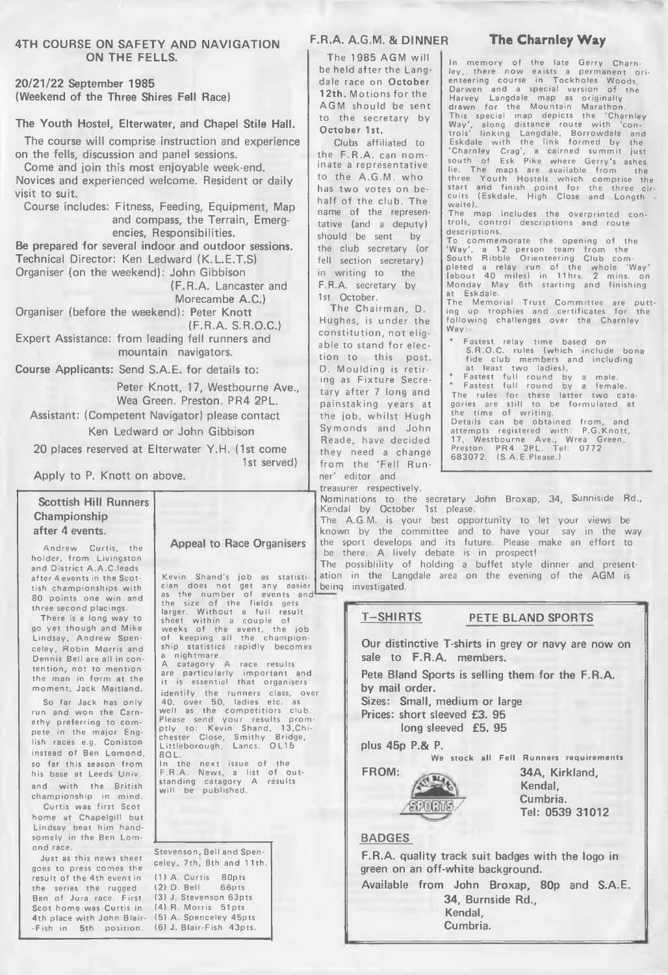#### **4TH COURSE ON SAFETY AND NAVIGATION ON THE FELLS.**

**20/21/22 September 1985 (Weekend of the Three Shires Fell Race)**

#### **The Youth Hostel, Elterwater, and Chapel Stile Hall.**

**The course will comprise instruction and experience on the fells, discussion and panel sessions.**

**Come and join this most enjoyable week-end. Novices and experienced welcome. Resident or daily visit to suit.**

**Course includes: Fitness, Feeding, Equipment, Map and compass, the Terrain, Emergencies, Responsibilities.**

**Be prepared for several indoor and outdoor sessions. Technical Director: Ken Ledward (K.L.E.T.S) Organiser (on the weekend): John Gibbison**

**(F.R.A. Lancaster and**

**Morecambe A.C.)**

**Organiser (before the weekend): Peter Knott (F.R.A. S.R.O.C.)**

**Expert Assistance: from leading fell runners and mountain navigators.**

**Course Applicants: Send S.A.E. for details to:**

**Peter Knott, 17, Westbourne Ave., Wea Green. Preston. PR4 2PL.**

**Assistant: (Competent Navigator) please contact Ken Ledward or John Gibbison**

**20 places reserved at Elterwater Y.H. (1st come 1st served)**

**Apply to P. Knott on above.**

#### **Scottish Hill Runners Championship after 4 events.**

Andrew Curtis, the holder, from Livingston and District A.A.C.leads after 4 events in the Scottish championships with 80 points one win and three second placings.

There is a long way to go yet though and Mike Lindsay, Andrew Spenceley, Robin Morris and Dennis Bell are all in contention, not to mention the man in form at the moment, Jack Maitland.

So far Jack has only run and won the Carnethy preferring to compete in the major English races e.g. Coniston instead of Ben Lomond, so far this season from his base at Leeds Univ. and with the British championship in mind.

Curtis was first Scot home at Chapelgill but Lindsay beat him handsomely in the Ben Lomond race.

Just as this news sheet goes to press comes the result of the 4th event in the series the rugged Ben of Jura race. First Scot home was Curtis in 4th place with John Blair- -Fish in 5th position.

#### **Appeal to Race Organisers**

Kevin Shand's job as statistican<br>cian does not get any easier<br>as the number of events and<br>the size of the fields gets<br>larger. Without a full result<br>sheet within a couple of<br>weeks of the event, the job<br>of keeping all the ch ship statistics rapidly becomes nightmare. A catagory A race results<br>are particularly important and it is essential that organisers identify the runners class, over<br>40, over 50, ladies etc. as well as the competitiors club.<br>Please send your results promptly to: Kevin Shand, 13,Chi-chester Close, Smithy Bridge, Littleborough, Lancs. OL15 8QL.

In the next issue of the<br>F.R.A. News, a list of out-<br>standing catagory A results will be published.

Stevenson, Bell and Spenceley, 7th, 8th and 11th. (1) A. Curtis 80pts (2) D. Bell 66pts (3) J. Stevenson 63pts  $(4)$  R. Morris  $51$ pts (5) A. Spenceley 45pts (6) J. Blair-Fish 43pts.

#### **F.R.A. A.G.M. & DINNER**

The 1985 AGM will be held after the Langdale race on **October** 12th. Motions for the AGM should be sent to the secretary by October 1st.

Clubs affiliated to the F.R.A. can nominate a representative to the A.G.M. who has two votes on behalf of the club. The name of the representative {and a deputy) should be sent by the club secretary (or fell section secretary) in writing to the F.R.A. secretary by 1st October.

The Chairman, D. Hughes, is under the constitution, not eligable to stand for election to this post. D. Moulding is retiring as Fixture Secretary after 7 long and painstaking years at the job, whilst Hugh Symonds and John Reade, have decided they need a change from the 'Fell Runner' editor and

treasurer respectively.

Nominations to the secretary John Broxap, 34, Sunniside Rd., Kendal by October 1st please.

The A.G.M. is your best opportunity to let your views be known by the committee and to have your say in the way the sport develops and its future. Please make an e ffort to be there. A lively debate is in prospect!

The possiblility of holding ation in the Langdale area on the evening of the AGM is being investigated. a buffet style dinner and present-

> **T-SHIRTS PETE BLAND SPORTS Our distinctive T-shirts in grey or navy are now on sale to F.R.A. members. Pete Bland Sports is selling them for the F.R.A. by mail order. Sizes: Small, medium or large Prices: short sleeved £3. 95 long sleeved £5. 95 plus 45p P.& P. We stock all Fell Runners requirements** FROM: 34A, Kirkland, **Kendal, Cumbria. SPORTS Tel: 0539 31012 BADGES**

**F.R.A. quality track suit badges with the logo in green on an off-white background. Available from John Broxap, 80p and S.A.E. 34, Burnside Rd., Kendal, Cumbria.**

#### **The Charnley Way**

In memory of ley, there now enteering course Darwen and a the late Gerry Charnley, there now exists a permanent ori-<br>enteering course in Tockholes Woods,<br>Darwen and a special version of the<br>Harvey Langdale map as originally<br>drawn for the Mountain Marathon. This special map depicts the 'Charnley Way', along distance route with 'con-trols' linking Langdale, Borrowdale and Eskdale w ith the link fo r m e d by the 'Charnley Crag', a cairned summit just south of Esk Pike where Gerry's ashes lie. The maps are available from the three Youth Hostels which comprise the<br>start and finish point for the three cir-<br>cuits (Eskdale, High Close and Longth -<br>waite).

The map includes the overprinted con-<br>trols, control descriptions and route descriptions.

To commemorate the opening of the 'Way', a 12 person team from the<br>South Ribble Orienteering Club com-<br>pleted a relay run of the whole 'Way'<br>(about 40 miles) in 11hrs. 2 mins. on<br>Monday May 6th starting and finishing at Eskdale.

The Memorial Trust Committee are putt-<br>ing up trophies and certificates for the following challenges over the Charnley Way

- \* Fastest relay time based on S.R.O.C. rules (which include bon<br>fide club members and including<br>at least two ladies).
- \* Fastest full round by a male.<br>\* Fastest full round by a female. The rules for these latter two catagories are still to be form ulated at the time of writing. Details can be obtained from, and<br>attempts registered with: P.G.Knott,

17, Westbourne Ave., Wrea Green, Preston. PR4 2PL. Tel: 0772 683072. (S.A.E.Please.)